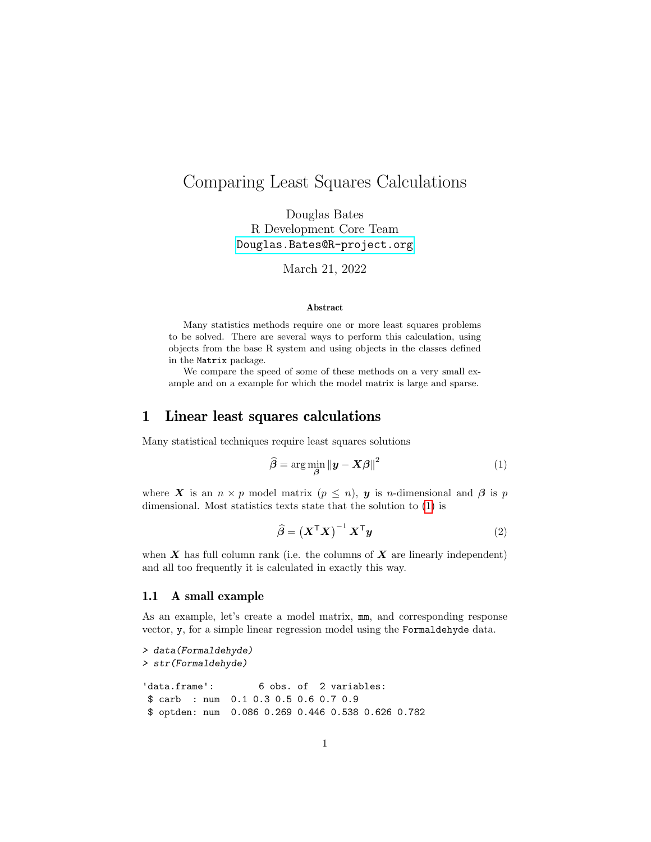# Comparing Least Squares Calculations

Douglas Bates R Development Core Team [Douglas.Bates@R-project.org](mailto:Douglas.Bates@R-project.org)

March 21, 2022

#### Abstract

Many statistics methods require one or more least squares problems to be solved. There are several ways to perform this calculation, using objects from the base R system and using objects in the classes defined in the Matrix package.

We compare the speed of some of these methods on a very small example and on a example for which the model matrix is large and sparse.

## 1 Linear least squares calculations

Many statistical techniques require least squares solutions

<span id="page-0-0"></span>
$$
\widehat{\boldsymbol{\beta}} = \arg\min_{\boldsymbol{\beta}} \|\boldsymbol{y} - \boldsymbol{X}\boldsymbol{\beta}\|^2 \tag{1}
$$

where X is an  $n \times p$  model matrix  $(p \leq n)$ , y is n-dimensional and  $\beta$  is p dimensional. Most statistics texts state that the solution to [\(1\)](#page-0-0) is

<span id="page-0-1"></span>
$$
\widehat{\boldsymbol{\beta}} = \left(\boldsymbol{X}^{\mathsf{T}}\boldsymbol{X}\right)^{-1}\boldsymbol{X}^{\mathsf{T}}\boldsymbol{y}
$$
\n(2)

when  $X$  has full column rank (i.e. the columns of  $X$  are linearly independent) and all too frequently it is calculated in exactly this way.

### 1.1 A small example

As an example, let's create a model matrix, mm, and corresponding response vector, y, for a simple linear regression model using the Formaldehyde data.

```
> data(Formaldehyde)
> str(Formaldehyde)
'data.frame': 6 obs. of 2 variables:
$ carb : num 0.1 0.3 0.5 0.6 0.7 0.9
$ optden: num 0.086 0.269 0.446 0.538 0.626 0.782
```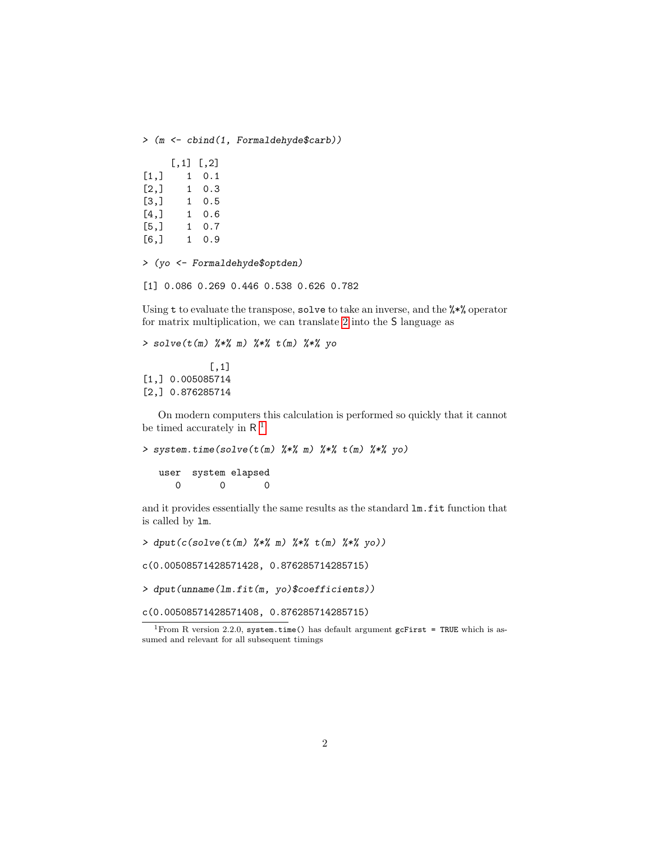> (m <- cbind(1, Formaldehyde\$carb))

|         | $[\, . \, 1]$ | [0, 2] |
|---------|---------------|--------|
| [1,]    | 1             | 0.1    |
| [2,]    | 1             | 0.3    |
| Г3.1    | 1             | 0.5    |
| [4,]    | 1             | 0.6    |
| $[5,$ ] | 1             | 0.7    |
| [6,]    | 1             | 0.9    |

> (yo <- Formaldehyde\$optden)

[1] 0.086 0.269 0.446 0.538 0.626 0.782

Using t to evaluate the transpose, solve to take an inverse, and the %\*% operator for matrix multiplication, we can translate [2](#page-0-1) into the S language as

```
> solve(t(m) %*% m) %*% t(m) %*% yo
```
[,1] [1,] 0.005085714 [2,] 0.876285714

On modern computers this calculation is performed so quickly that it cannot be timed accurately in  $R^{-1}$  $R^{-1}$  $R^{-1}$ 

> system.time(solve(t(m) %\*% m) %\*% t(m) %\*% yo)

user system elapsed 0 0 0

and it provides essentially the same results as the standard lm.fit function that is called by lm.

```
> dput(c(solve(t(m) %*% m) %*% t(m) %*% yo))
```
c(0.00508571428571428, 0.876285714285715)

> dput(unname(lm.fit(m, yo)\$coefficients))

c(0.00508571428571408, 0.876285714285715)

<span id="page-1-0"></span><sup>&</sup>lt;sup>1</sup>From R version 2.2.0, system.time() has default argument gcFirst = TRUE which is assumed and relevant for all subsequent timings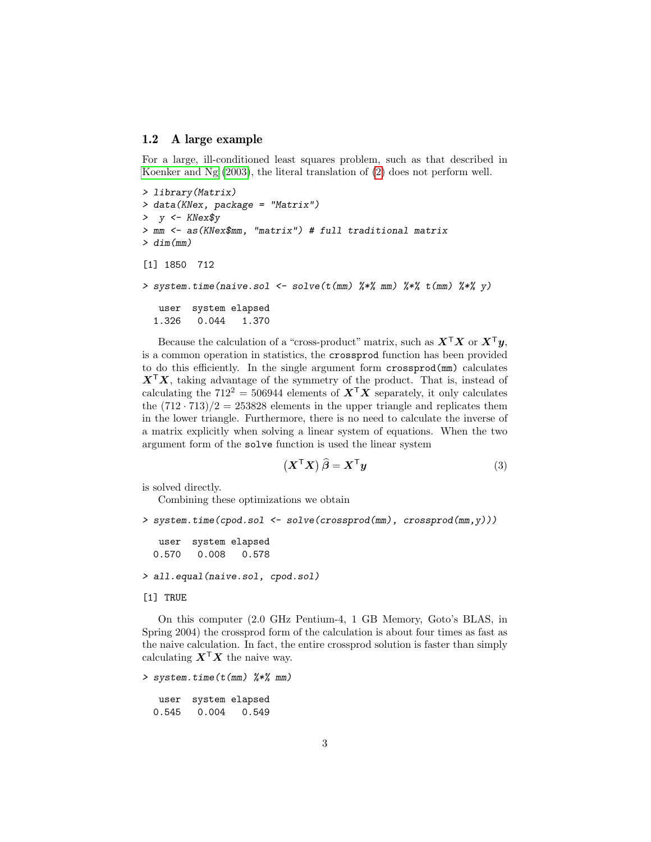#### 1.2 A large example

For a large, ill-conditioned least squares problem, such as that described in [Koenker and Ng](#page-6-0) [\(2003\)](#page-6-0), the literal translation of [\(2\)](#page-0-1) does not perform well.

```
> library(Matrix)
> data(KNex, package = "Matrix")
> y < - KNex$y
> mm <- as(KNex$mm, "matrix") # full traditional matrix
> dim(mm)[1] 1850 712
> system.time(naive.sol <- solve(t(mm) %*% mm) %*% t(mm) %*% y)
   user system elapsed
  1.326 0.044 1.370
```
Because the calculation of a "cross-product" matrix, such as  $X^{\top}X$  or  $X^{\top}y$ , is a common operation in statistics, the crossprod function has been provided to do this efficiently. In the single argument form crossprod(mm) calculates  $X^{\mathsf{T}}X$ , taking advantage of the symmetry of the product. That is, instead of calculating the  $712^2 = 506944$  elements of  $X^{\mathsf{T}}X$  separately, it only calculates the  $(712 \cdot 713)/2 = 253828$  elements in the upper triangle and replicates them in the lower triangle. Furthermore, there is no need to calculate the inverse of a matrix explicitly when solving a linear system of equations. When the two argument form of the solve function is used the linear system

<span id="page-2-0"></span>
$$
\left(\boldsymbol{X}^{\mathsf{T}}\boldsymbol{X}\right)\widehat{\boldsymbol{\beta}}=\boldsymbol{X}^{\mathsf{T}}\boldsymbol{y}\tag{3}
$$

is solved directly.

Combining these optimizations we obtain

```
> system.time(cpod.sol <- solve(crossprod(mm), crossprod(mm,y)))
```

```
user system elapsed
0.570 0.008 0.578
```
> all.equal(naive.sol, cpod.sol)

[1] TRUE

On this computer (2.0 GHz Pentium-4, 1 GB Memory, Goto's BLAS, in Spring 2004) the crossprod form of the calculation is about four times as fast as the naive calculation. In fact, the entire crossprod solution is faster than simply calculating  $X^{\mathsf{T}}X$  the naive way.

> system.time(t(mm) %\*% mm)

user system elapsed 0.545 0.004 0.549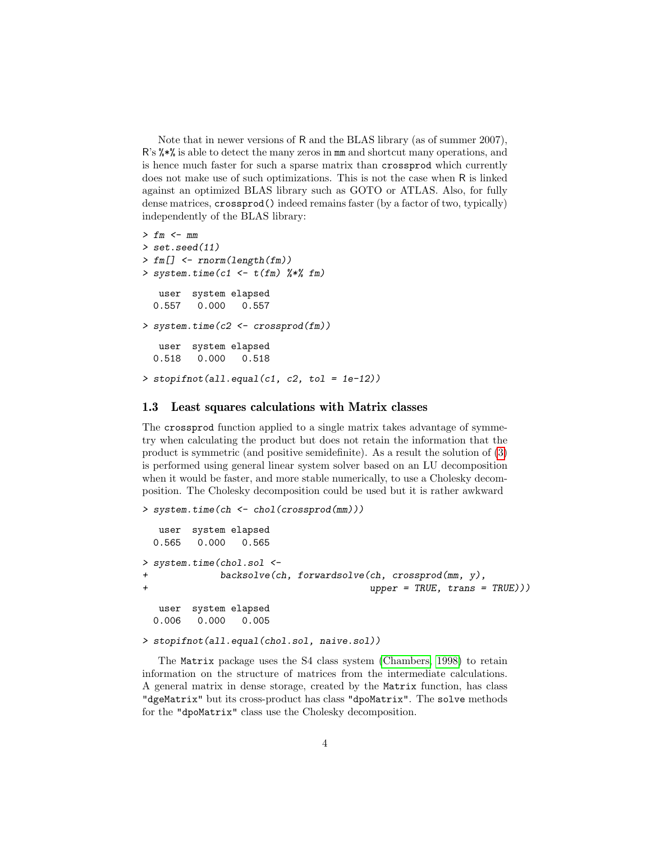Note that in newer versions of R and the BLAS library (as of summer 2007), R's %\*% is able to detect the many zeros in mm and shortcut many operations, and is hence much faster for such a sparse matrix than crossprod which currently does not make use of such optimizations. This is not the case when R is linked against an optimized BLAS library such as GOTO or ATLAS. Also, for fully dense matrices, crossprod() indeed remains faster (by a factor of two, typically) independently of the BLAS library:

```
> fm < - mm> set.seed(11)
> fm[] <- rnorm(length(fm))
> system.time(c1 <- t(fm) \frac{8}{5} fm)
  user system elapsed
  0.557 0.000 0.557
> system.time(c2 <- crossprod(fm))
  user system elapsed
 0.518 0.000 0.518
\geq stopifnot(all.equal(c1, c2, tol = 1e-12))
```
#### 1.3 Least squares calculations with Matrix classes

The crossprod function applied to a single matrix takes advantage of symmetry when calculating the product but does not retain the information that the product is symmetric (and positive semidefinite). As a result the solution of [\(3\)](#page-2-0) is performed using general linear system solver based on an LU decomposition when it would be faster, and more stable numerically, to use a Cholesky decomposition. The Cholesky decomposition could be used but it is rather awkward

```
> system.time(ch <- chol(crossprod(mm)))
  user system elapsed
 0.565 0.000 0.565
> system.time(chol.sol <-
           backsolve(ch, forwardsolve(ch, crossprod(mm, y),+ upper = TRUE, trans = TRUE)))
  user system elapsed
 0.006 0.000 0.005
```

```
> stopifnot(all.equal(chol.sol, naive.sol))
```
The Matrix package uses the S4 class system [\(Chambers, 1998\)](#page-6-1) to retain information on the structure of matrices from the intermediate calculations. A general matrix in dense storage, created by the Matrix function, has class "dgeMatrix" but its cross-product has class "dpoMatrix". The solve methods for the "dpoMatrix" class use the Cholesky decomposition.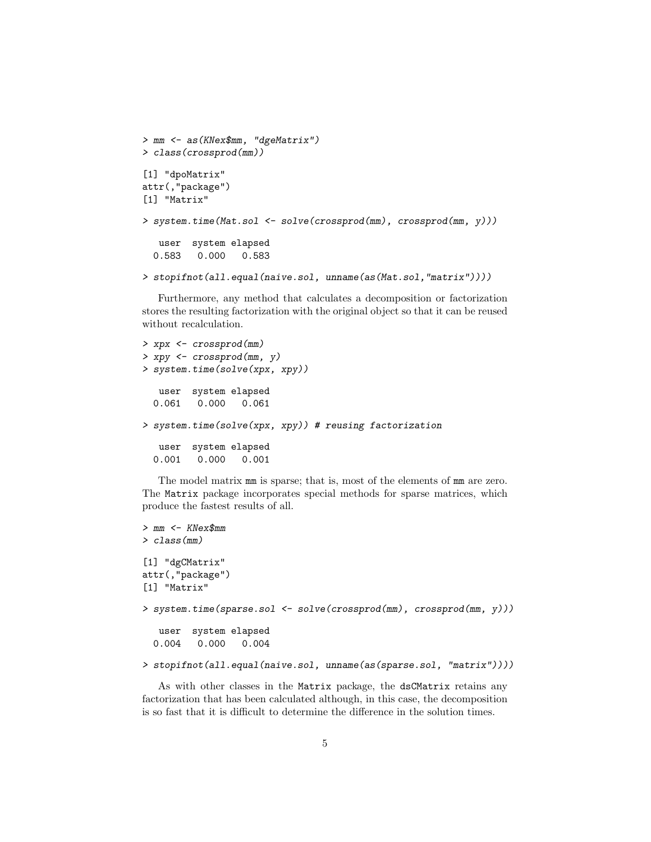```
> mm <- as(KNex$mm, "dgeMatrix")
> class(crossprod(mm))
[1] "dpoMatrix"
attr(,"package")
[1] "Matrix"
> system.time(Mat.sol <- solve(crossprod(mm), crossprod(mm, y)))
   user system elapsed
  0.583 0.000 0.583
```

```
> stopifnot(all.equal(naive.sol, unname(as(Mat.sol,"matrix"))))
```
Furthermore, any method that calculates a decomposition or factorization stores the resulting factorization with the original object so that it can be reused without recalculation.

```
> xpx <- crossprod(mm)
> xpy <- crossprod(mm, y)
> system.time(solve(xpx, xpy))
  user system elapsed
 0.061 0.000 0.061
> system.time(solve(xpx, xpy)) # reusing factorization
  user system elapsed
 0.001 0.000 0.001
```
The model matrix mm is sparse; that is, most of the elements of mm are zero. The Matrix package incorporates special methods for sparse matrices, which produce the fastest results of all.

```
> mm <- KNex$mm
> class(mm)
[1] "dgCMatrix"
attr(,"package")
[1] "Matrix"
> system.time(sparse.sol <- solve(crossprod(mm), crossprod(mm, y)))
   user system elapsed
  0.004 0.000 0.004
> stopifnot(all.equal(naive.sol, unname(as(sparse.sol, "matrix"))))
```
As with other classes in the Matrix package, the dsCMatrix retains any factorization that has been calculated although, in this case, the decomposition

is so fast that it is difficult to determine the difference in the solution times.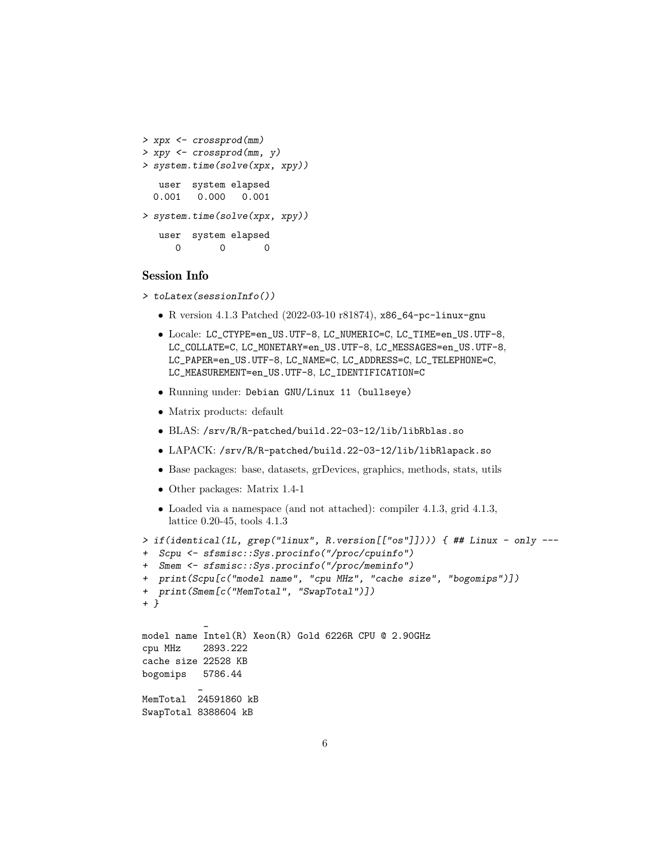```
> xpx <- crossprod(mm)
> xpy <- crossprod(mm, y)
> system.time(solve(xpx, xpy))
  user system elapsed
 0.001 0.000 0.001
> system.time(solve(xpx, xpy))
  user system elapsed
     0 0 0
```
### Session Info

- > toLatex(sessionInfo())
	- R version 4.1.3 Patched (2022-03-10 r81874), x86\_64-pc-linux-gnu
	- Locale: LC\_CTYPE=en\_US.UTF-8, LC\_NUMERIC=C, LC\_TIME=en\_US.UTF-8, LC\_COLLATE=C, LC\_MONETARY=en\_US.UTF-8, LC\_MESSAGES=en\_US.UTF-8, LC\_PAPER=en\_US.UTF-8, LC\_NAME=C, LC\_ADDRESS=C, LC\_TELEPHONE=C, LC\_MEASUREMENT=en\_US.UTF-8, LC\_IDENTIFICATION=C
	- Running under: Debian GNU/Linux 11 (bullseye)
	- Matrix products: default
	- BLAS: /srv/R/R-patched/build.22-03-12/lib/libRblas.so
	- LAPACK: /srv/R/R-patched/build.22-03-12/lib/libRlapack.so
	- Base packages: base, datasets, grDevices, graphics, methods, stats, utils
	- Other packages: Matrix 1.4-1
	- Loaded via a namespace (and not attached): compiler 4.1.3, grid 4.1.3, lattice 0.20-45, tools 4.1.3

```
> if(identical(1L, grep("linux", R.version[["os"]]))) { ## Linux - only ---
+ Scpu <- sfsmisc::Sys.procinfo("/proc/cpuinfo")
+ Smem <- sfsmisc::Sys.procinfo("/proc/meminfo")
+ print(Scpu[c("model name", "cpu MHz", "cache size", "bogomips")])
+ print(Smem[c("MemTotal", "SwapTotal")])
+ }
           _
model name Intel(R) Xeon(R) Gold 6226R CPU @ 2.90GHz
cpu MHz 2893.222
cache size 22528 KB
bogomips 5786.44
          _
MemTotal 24591860 kB
SwapTotal 8388604 kB
```